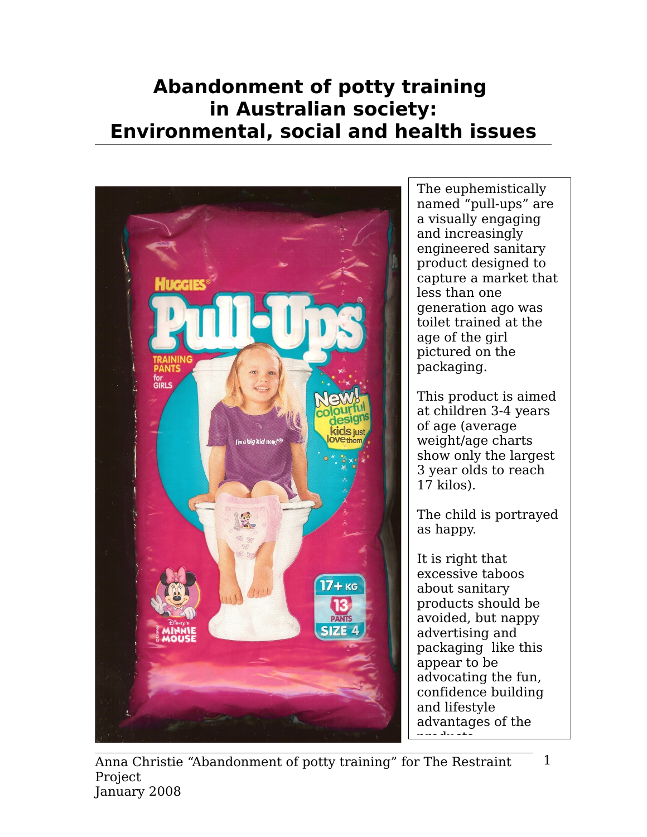# **Abandonment of potty training in Australian society: Environmental, social and health issues**



The euphemistically named "pull-ups" are a visually engaging and increasingly engineered sanitary product designed to capture a market that less than one generation ago was toilet trained at the age of the girl pictured on the packaging.

This product is aimed at children 3-4 years of age (average weight/age charts show only the largest 3 year olds to reach 17 kilos).

The child is portrayed as happy.

It is right that excessive taboos about sanitary products should be avoided, but nappy advertising and packaging like this appear to be advocating the fun, confidence building and lifestyle advantages of the products.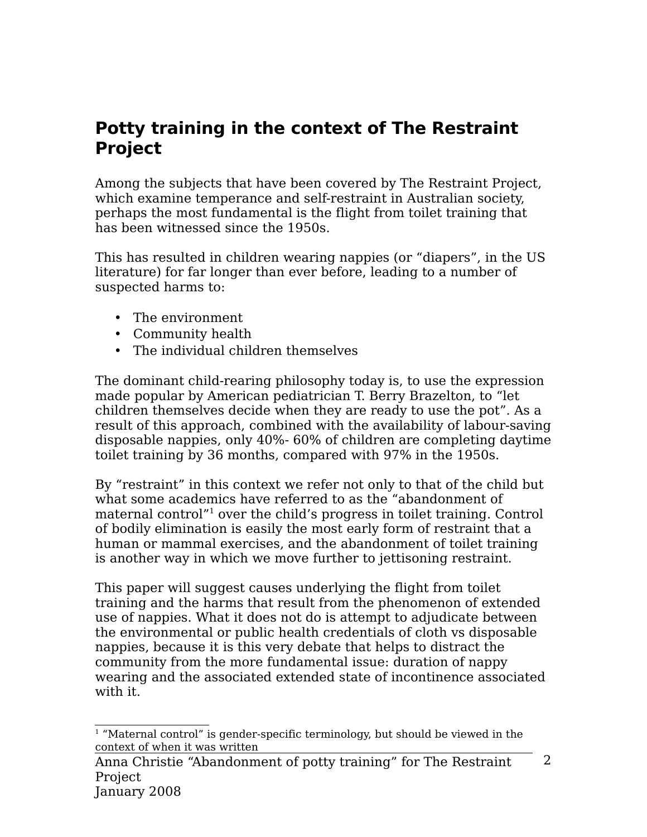## **Potty training in the context of The Restraint Project**

Among the subjects that have been covered by The Restraint Project, which examine temperance and self-restraint in Australian society, perhaps the most fundamental is the flight from toilet training that has been witnessed since the 1950s.

This has resulted in children wearing nappies (or "diapers", in the US literature) for far longer than ever before, leading to a number of suspected harms to:

- The environment
- Community health
- The individual children themselves

The dominant child-rearing philosophy today is, to use the expression made popular by American pediatrician T. Berry Brazelton, to "let children themselves decide when they are ready to use the pot". As a result of this approach, combined with the availability of labour-saving disposable nappies, only 40%- 60% of children are completing daytime toilet training by 36 months, compared with 97% in the 1950s.

By "restraint" in this context we refer not only to that of the child but what some academics have referred to as the "abandonment of maternal control<sup>"[1](#page-1-0)</sup> over the child's progress in toilet training. Control of bodily elimination is easily the most early form of restraint that a human or mammal exercises, and the abandonment of toilet training is another way in which we move further to jettisoning restraint.

This paper will suggest causes underlying the flight from toilet training and the harms that result from the phenomenon of extended use of nappies. What it does not do is attempt to adjudicate between the environmental or public health credentials of cloth vs disposable nappies, because it is this very debate that helps to distract the community from the more fundamental issue: duration of nappy wearing and the associated extended state of incontinence associated with it.

<span id="page-1-0"></span><sup>&</sup>lt;sup>1</sup> "Maternal control" is gender-specific terminology, but should be viewed in the context of when it was written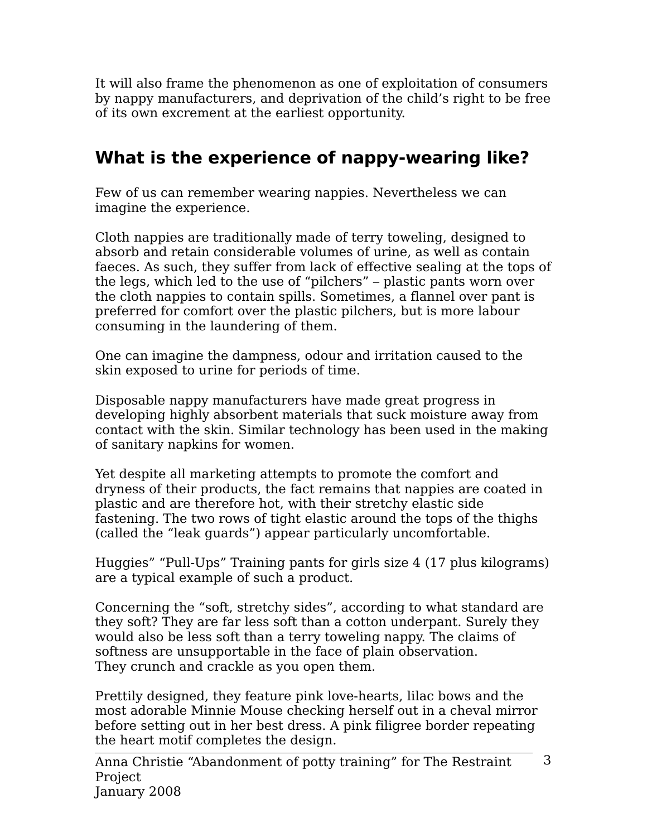It will also frame the phenomenon as one of exploitation of consumers by nappy manufacturers, and deprivation of the child's right to be free of its own excrement at the earliest opportunity.

# **What is the experience of nappy-wearing like?**

Few of us can remember wearing nappies. Nevertheless we can imagine the experience.

Cloth nappies are traditionally made of terry toweling, designed to absorb and retain considerable volumes of urine, as well as contain faeces. As such, they suffer from lack of effective sealing at the tops of the legs, which led to the use of "pilchers" – plastic pants worn over the cloth nappies to contain spills. Sometimes, a flannel over pant is preferred for comfort over the plastic pilchers, but is more labour consuming in the laundering of them.

One can imagine the dampness, odour and irritation caused to the skin exposed to urine for periods of time.

Disposable nappy manufacturers have made great progress in developing highly absorbent materials that suck moisture away from contact with the skin. Similar technology has been used in the making of sanitary napkins for women.

Yet despite all marketing attempts to promote the comfort and dryness of their products, the fact remains that nappies are coated in plastic and are therefore hot, with their stretchy elastic side fastening. The two rows of tight elastic around the tops of the thighs (called the "leak guards") appear particularly uncomfortable.

Huggies" "Pull-Ups" Training pants for girls size 4 (17 plus kilograms) are a typical example of such a product.

Concerning the "soft, stretchy sides", according to what standard are they soft? They are far less soft than a cotton underpant. Surely they would also be less soft than a terry toweling nappy. The claims of softness are unsupportable in the face of plain observation. They crunch and crackle as you open them.

Prettily designed, they feature pink love-hearts, lilac bows and the most adorable Minnie Mouse checking herself out in a cheval mirror before setting out in her best dress. A pink filigree border repeating the heart motif completes the design.

Anna Christie "Abandonment of potty training" for The Restraint Project January 2008 3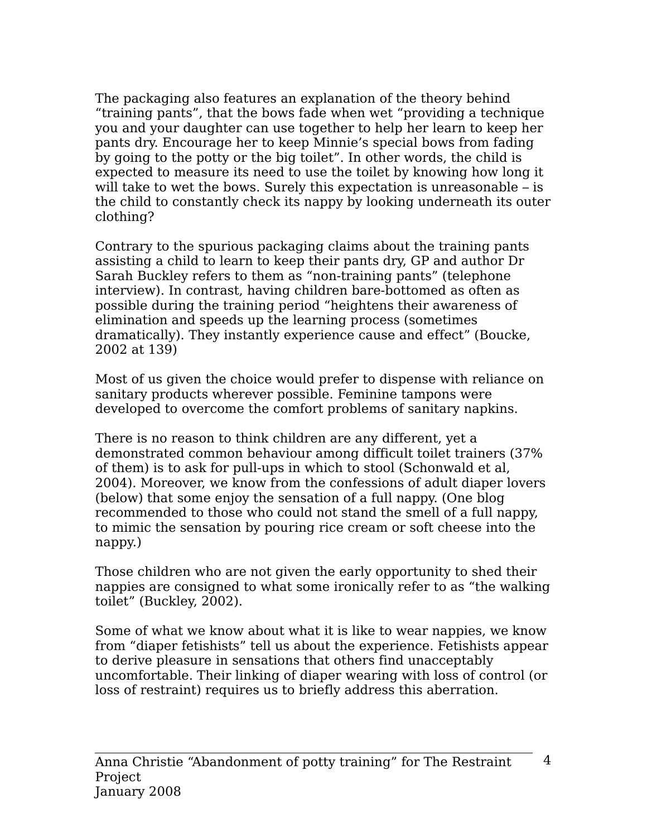The packaging also features an explanation of the theory behind "training pants", that the bows fade when wet "providing a technique you and your daughter can use together to help her learn to keep her pants dry. Encourage her to keep Minnie's special bows from fading by going to the potty or the big toilet". In other words, the child is expected to measure its need to use the toilet by knowing how long it will take to wet the bows. Surely this expectation is unreasonable – is the child to constantly check its nappy by looking underneath its outer clothing?

Contrary to the spurious packaging claims about the training pants assisting a child to learn to keep their pants dry, GP and author Dr Sarah Buckley refers to them as "non-training pants" (telephone interview). In contrast, having children bare-bottomed as often as possible during the training period "heightens their awareness of elimination and speeds up the learning process (sometimes dramatically). They instantly experience cause and effect" (Boucke, 2002 at 139)

Most of us given the choice would prefer to dispense with reliance on sanitary products wherever possible. Feminine tampons were developed to overcome the comfort problems of sanitary napkins.

There is no reason to think children are any different, yet a demonstrated common behaviour among difficult toilet trainers (37% of them) is to ask for pull-ups in which to stool (Schonwald et al, 2004). Moreover, we know from the confessions of adult diaper lovers (below) that some enjoy the sensation of a full nappy. (One blog recommended to those who could not stand the smell of a full nappy, to mimic the sensation by pouring rice cream or soft cheese into the nappy.)

Those children who are not given the early opportunity to shed their nappies are consigned to what some ironically refer to as "the walking toilet" (Buckley, 2002).

Some of what we know about what it is like to wear nappies, we know from "diaper fetishists" tell us about the experience. Fetishists appear to derive pleasure in sensations that others find unacceptably uncomfortable. Their linking of diaper wearing with loss of control (or loss of restraint) requires us to briefly address this aberration.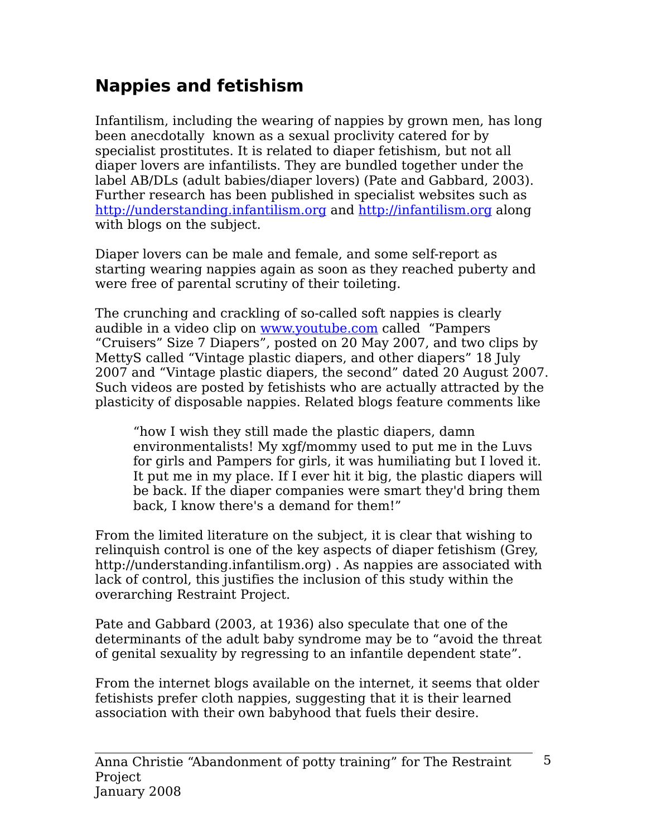# **Nappies and fetishism**

Infantilism, including the wearing of nappies by grown men, has long been anecdotally known as a sexual proclivity catered for by specialist prostitutes. It is related to diaper fetishism, but not all diaper lovers are infantilists. They are bundled together under the label AB/DLs (adult babies/diaper lovers) (Pate and Gabbard, 2003). Further research has been published in specialist websites such as [http://understanding.infantilism.org](http://understanding.infantilism.org/) and [http://infantilism.org](http://infantilism.org/) along with blogs on the subject.

Diaper lovers can be male and female, and some self-report as starting wearing nappies again as soon as they reached puberty and were free of parental scrutiny of their toileting.

The crunching and crackling of so-called soft nappies is clearly audible in a video clip on [www.youtube.com](http://www.youtube.com/) called "Pampers "Cruisers" Size 7 Diapers", posted on 20 May 2007, and two clips by MettyS called "Vintage plastic diapers, and other diapers" 18 July 2007 and "Vintage plastic diapers, the second" dated 20 August 2007. Such videos are posted by fetishists who are actually attracted by the plasticity of disposable nappies. Related blogs feature comments like

"how I wish they still made the plastic diapers, damn environmentalists! My xgf/mommy used to put me in the Luvs for girls and Pampers for girls, it was humiliating but I loved it. It put me in my place. If I ever hit it big, the plastic diapers will be back. If the diaper companies were smart they'd bring them back, I know there's a demand for them!"

From the limited literature on the subject, it is clear that wishing to relinquish control is one of the key aspects of diaper fetishism (Grey, http://understanding.infantilism.org) . As nappies are associated with lack of control, this justifies the inclusion of this study within the overarching Restraint Project.

Pate and Gabbard (2003, at 1936) also speculate that one of the determinants of the adult baby syndrome may be to "avoid the threat of genital sexuality by regressing to an infantile dependent state".

From the internet blogs available on the internet, it seems that older fetishists prefer cloth nappies, suggesting that it is their learned association with their own babyhood that fuels their desire.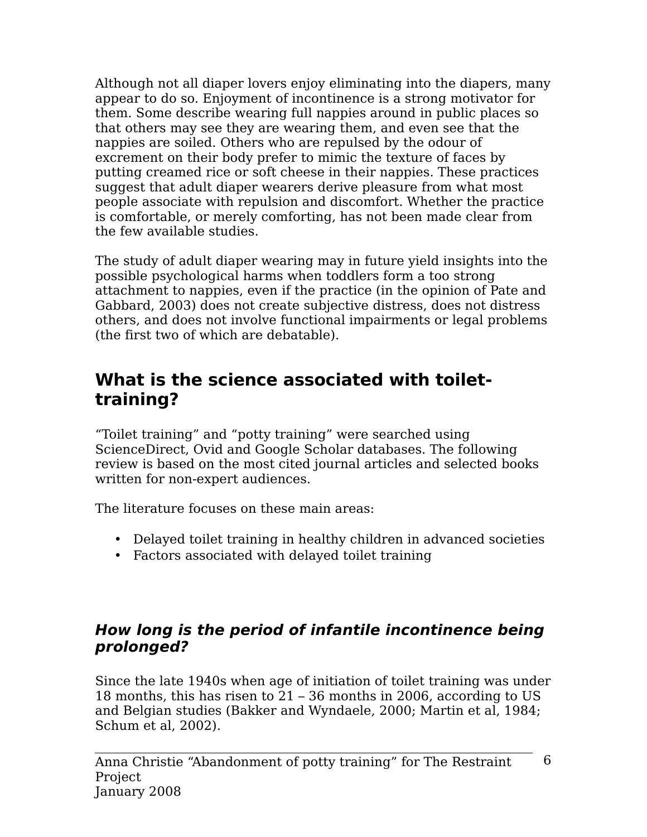Although not all diaper lovers enjoy eliminating into the diapers, many appear to do so. Enjoyment of incontinence is a strong motivator for them. Some describe wearing full nappies around in public places so that others may see they are wearing them, and even see that the nappies are soiled. Others who are repulsed by the odour of excrement on their body prefer to mimic the texture of faces by putting creamed rice or soft cheese in their nappies. These practices suggest that adult diaper wearers derive pleasure from what most people associate with repulsion and discomfort. Whether the practice is comfortable, or merely comforting, has not been made clear from the few available studies.

The study of adult diaper wearing may in future yield insights into the possible psychological harms when toddlers form a too strong attachment to nappies, even if the practice (in the opinion of Pate and Gabbard, 2003) does not create subjective distress, does not distress others, and does not involve functional impairments or legal problems (the first two of which are debatable).

## **What is the science associated with toilettraining?**

"Toilet training" and "potty training" were searched using ScienceDirect, Ovid and Google Scholar databases. The following review is based on the most cited journal articles and selected books written for non-expert audiences.

The literature focuses on these main areas:

- Delayed toilet training in healthy children in advanced societies
- Factors associated with delayed toilet training

#### **How long is the period of infantile incontinence being prolonged?**

Since the late 1940s when age of initiation of toilet training was under 18 months, this has risen to 21 – 36 months in 2006, according to US and Belgian studies (Bakker and Wyndaele, 2000; Martin et al, 1984; Schum et al, 2002).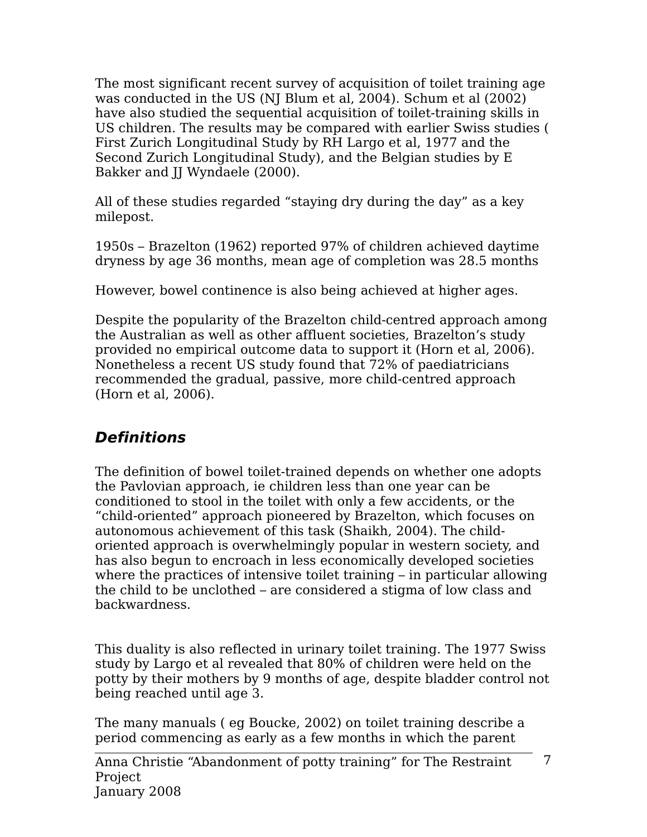The most significant recent survey of acquisition of toilet training age was conducted in the US (NJ Blum et al, 2004). Schum et al (2002) have also studied the sequential acquisition of toilet-training skills in US children. The results may be compared with earlier Swiss studies ( First Zurich Longitudinal Study by RH Largo et al, 1977 and the Second Zurich Longitudinal Study), and the Belgian studies by E Bakker and JJ Wyndaele (2000).

All of these studies regarded "staying dry during the day" as a key milepost.

1950s – Brazelton (1962) reported 97% of children achieved daytime dryness by age 36 months, mean age of completion was 28.5 months

However, bowel continence is also being achieved at higher ages.

Despite the popularity of the Brazelton child-centred approach among the Australian as well as other affluent societies, Brazelton's study provided no empirical outcome data to support it (Horn et al, 2006). Nonetheless a recent US study found that 72% of paediatricians recommended the gradual, passive, more child-centred approach (Horn et al, 2006).

## **Definitions**

The definition of bowel toilet-trained depends on whether one adopts the Pavlovian approach, ie children less than one year can be conditioned to stool in the toilet with only a few accidents, or the "child-oriented" approach pioneered by Brazelton, which focuses on autonomous achievement of this task (Shaikh, 2004). The childoriented approach is overwhelmingly popular in western society, and has also begun to encroach in less economically developed societies where the practices of intensive toilet training – in particular allowing the child to be unclothed – are considered a stigma of low class and backwardness.

This duality is also reflected in urinary toilet training. The 1977 Swiss study by Largo et al revealed that 80% of children were held on the potty by their mothers by 9 months of age, despite bladder control not being reached until age 3.

The many manuals ( eg Boucke, 2002) on toilet training describe a period commencing as early as a few months in which the parent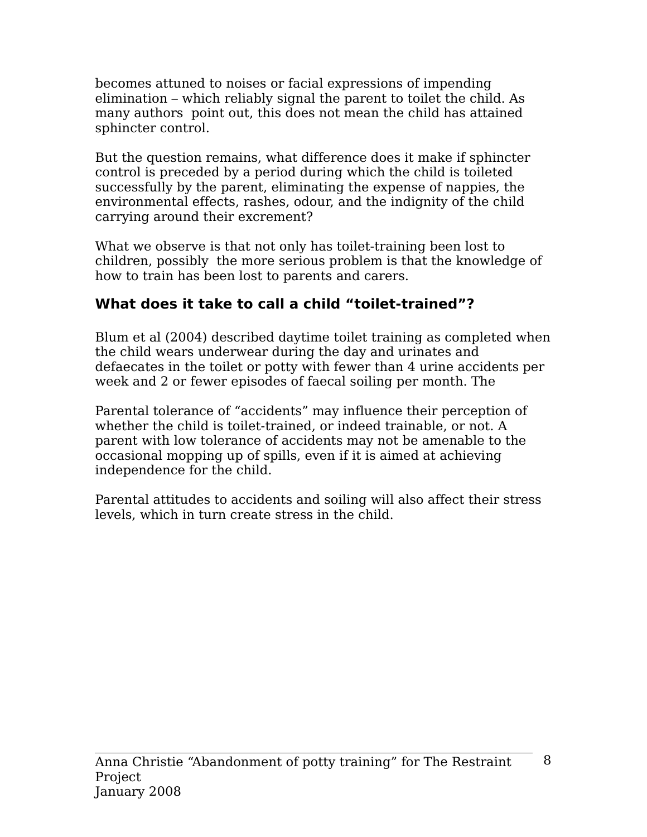becomes attuned to noises or facial expressions of impending elimination – which reliably signal the parent to toilet the child. As many authors point out, this does not mean the child has attained sphincter control.

But the question remains, what difference does it make if sphincter control is preceded by a period during which the child is toileted successfully by the parent, eliminating the expense of nappies, the environmental effects, rashes, odour, and the indignity of the child carrying around their excrement?

What we observe is that not only has toilet-training been lost to children, possibly the more serious problem is that the knowledge of how to train has been lost to parents and carers.

### **What does it take to call a child "toilet-trained"?**

Blum et al (2004) described daytime toilet training as completed when the child wears underwear during the day and urinates and defaecates in the toilet or potty with fewer than 4 urine accidents per week and 2 or fewer episodes of faecal soiling per month. The

Parental tolerance of "accidents" may influence their perception of whether the child is toilet-trained, or indeed trainable, or not. A parent with low tolerance of accidents may not be amenable to the occasional mopping up of spills, even if it is aimed at achieving independence for the child.

Parental attitudes to accidents and soiling will also affect their stress levels, which in turn create stress in the child.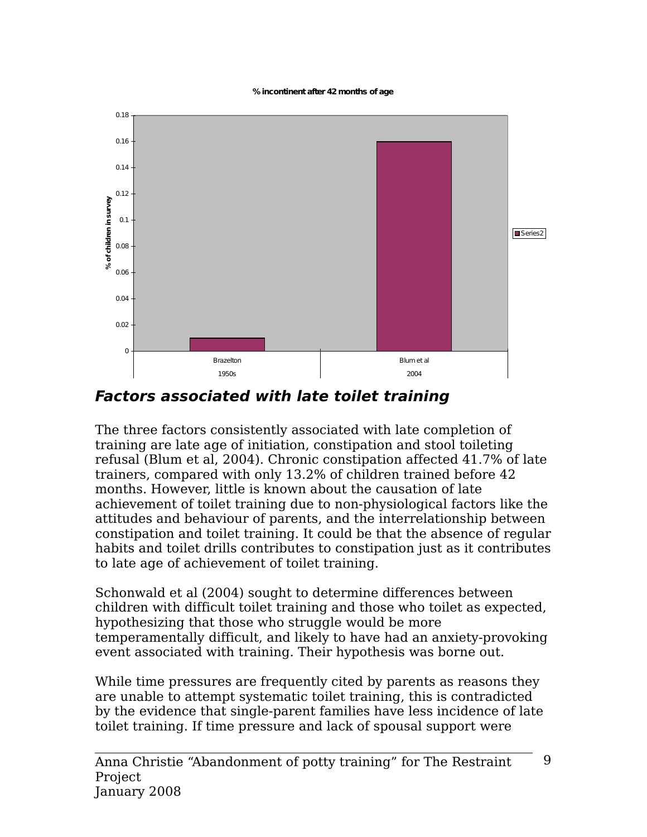**%incontinentafter 42months of age**



**Factors associated with late toilet training**

The three factors consistently associated with late completion of training are late age of initiation, constipation and stool toileting refusal (Blum et al, 2004). Chronic constipation affected 41.7% of late trainers, compared with only 13.2% of children trained before 42 months. However, little is known about the causation of late achievement of toilet training due to non-physiological factors like the attitudes and behaviour of parents, and the interrelationship between constipation and toilet training. It could be that the absence of regular habits and toilet drills contributes to constipation just as it contributes to late age of achievement of toilet training.

Schonwald et al (2004) sought to determine differences between children with difficult toilet training and those who toilet as expected, hypothesizing that those who struggle would be more temperamentally difficult, and likely to have had an anxiety-provoking event associated with training. Their hypothesis was borne out.

While time pressures are frequently cited by parents as reasons they are unable to attempt systematic toilet training, this is contradicted by the evidence that single-parent families have less incidence of late toilet training. If time pressure and lack of spousal support were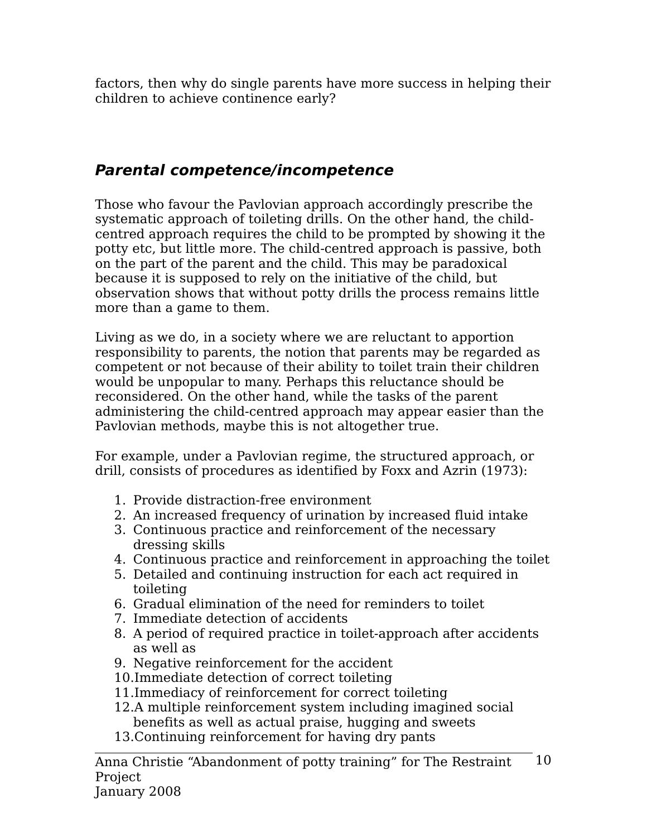factors, then why do single parents have more success in helping their children to achieve continence early?

#### **Parental competence/incompetence**

Those who favour the Pavlovian approach accordingly prescribe the systematic approach of toileting drills. On the other hand, the childcentred approach requires the child to be prompted by showing it the potty etc, but little more. The child-centred approach is passive, both on the part of the parent and the child. This may be paradoxical because it is supposed to rely on the initiative of the child, but observation shows that without potty drills the process remains little more than a game to them.

Living as we do, in a society where we are reluctant to apportion responsibility to parents, the notion that parents may be regarded as competent or not because of their ability to toilet train their children would be unpopular to many. Perhaps this reluctance should be reconsidered. On the other hand, while the tasks of the parent administering the child-centred approach may appear easier than the Pavlovian methods, maybe this is not altogether true.

For example, under a Pavlovian regime, the structured approach, or drill, consists of procedures as identified by Foxx and Azrin (1973):

- 1. Provide distraction-free environment
- 2. An increased frequency of urination by increased fluid intake
- 3. Continuous practice and reinforcement of the necessary dressing skills
- 4. Continuous practice and reinforcement in approaching the toilet
- 5. Detailed and continuing instruction for each act required in toileting
- 6. Gradual elimination of the need for reminders to toilet
- 7. Immediate detection of accidents
- 8. A period of required practice in toilet-approach after accidents as well as
- 9. Negative reinforcement for the accident
- 10.Immediate detection of correct toileting
- 11.Immediacy of reinforcement for correct toileting
- 12.A multiple reinforcement system including imagined social benefits as well as actual praise, hugging and sweets
- 13.Continuing reinforcement for having dry pants

Anna Christie "Abandonment of potty training" for The Restraint Project 10

January 2008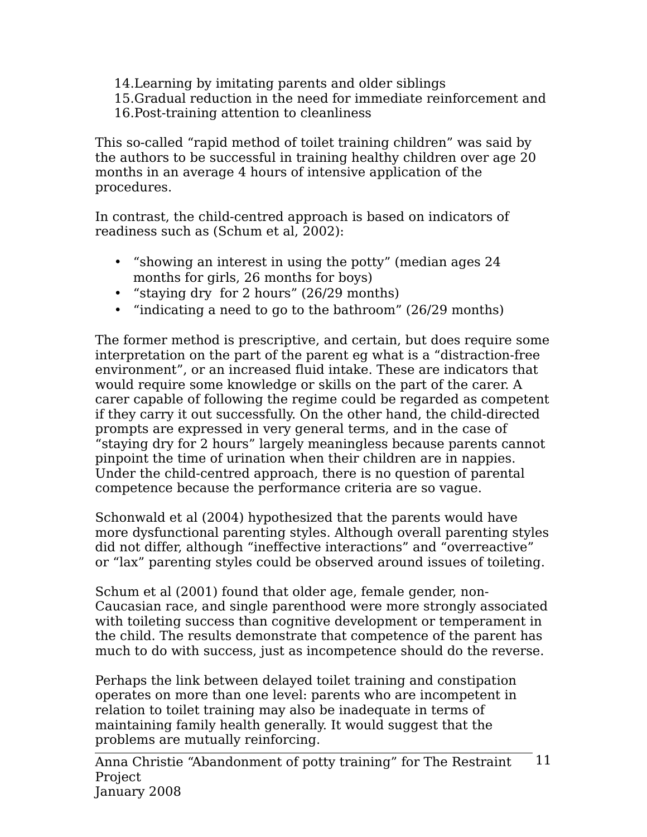- 14.Learning by imitating parents and older siblings
- 15.Gradual reduction in the need for immediate reinforcement and
- 16.Post-training attention to cleanliness

This so-called "rapid method of toilet training children" was said by the authors to be successful in training healthy children over age 20 months in an average 4 hours of intensive application of the procedures.

In contrast, the child-centred approach is based on indicators of readiness such as (Schum et al, 2002):

- "showing an interest in using the potty" (median ages 24 months for girls, 26 months for boys)
- "staying dry for 2 hours" (26/29 months)
- "indicating a need to go to the bathroom" (26/29 months)

The former method is prescriptive, and certain, but does require some interpretation on the part of the parent eg what is a "distraction-free environment", or an increased fluid intake. These are indicators that would require some knowledge or skills on the part of the carer. A carer capable of following the regime could be regarded as competent if they carry it out successfully. On the other hand, the child-directed prompts are expressed in very general terms, and in the case of "staying dry for 2 hours" largely meaningless because parents cannot pinpoint the time of urination when their children are in nappies. Under the child-centred approach, there is no question of parental competence because the performance criteria are so vague.

Schonwald et al (2004) hypothesized that the parents would have more dysfunctional parenting styles. Although overall parenting styles did not differ, although "ineffective interactions" and "overreactive" or "lax" parenting styles could be observed around issues of toileting.

Schum et al (2001) found that older age, female gender, non-Caucasian race, and single parenthood were more strongly associated with toileting success than cognitive development or temperament in the child. The results demonstrate that competence of the parent has much to do with success, just as incompetence should do the reverse.

Perhaps the link between delayed toilet training and constipation operates on more than one level: parents who are incompetent in relation to toilet training may also be inadequate in terms of maintaining family health generally. It would suggest that the problems are mutually reinforcing.

Anna Christie "Abandonment of potty training" for The Restraint Project January 2008 11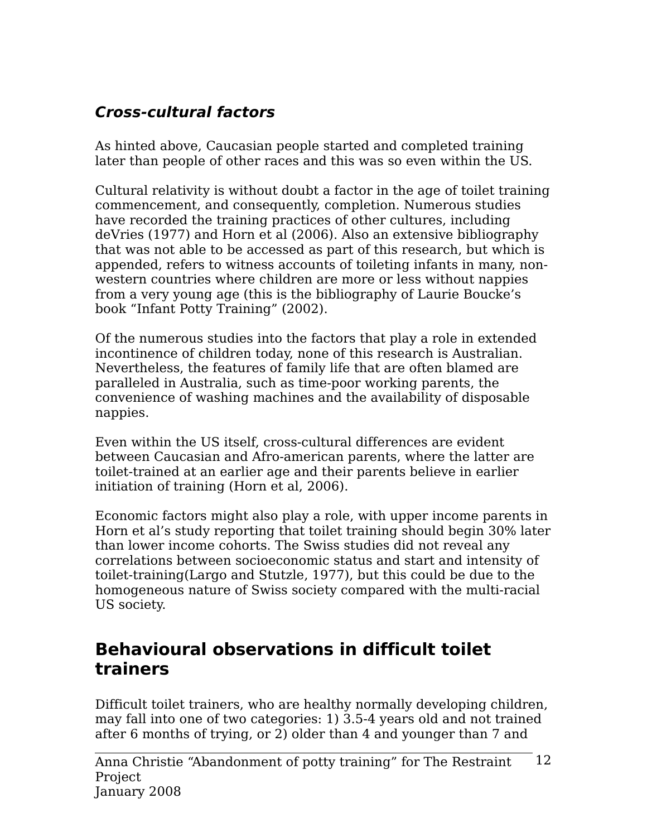### **Cross-cultural factors**

As hinted above, Caucasian people started and completed training later than people of other races and this was so even within the US.

Cultural relativity is without doubt a factor in the age of toilet training commencement, and consequently, completion. Numerous studies have recorded the training practices of other cultures, including deVries (1977) and Horn et al (2006). Also an extensive bibliography that was not able to be accessed as part of this research, but which is appended, refers to witness accounts of toileting infants in many, nonwestern countries where children are more or less without nappies from a very young age (this is the bibliography of Laurie Boucke's book "Infant Potty Training" (2002).

Of the numerous studies into the factors that play a role in extended incontinence of children today, none of this research is Australian. Nevertheless, the features of family life that are often blamed are paralleled in Australia, such as time-poor working parents, the convenience of washing machines and the availability of disposable nappies.

Even within the US itself, cross-cultural differences are evident between Caucasian and Afro-american parents, where the latter are toilet-trained at an earlier age and their parents believe in earlier initiation of training (Horn et al, 2006).

Economic factors might also play a role, with upper income parents in Horn et al's study reporting that toilet training should begin 30% later than lower income cohorts. The Swiss studies did not reveal any correlations between socioeconomic status and start and intensity of toilet-training(Largo and Stutzle, 1977), but this could be due to the homogeneous nature of Swiss society compared with the multi-racial US society.

## **Behavioural observations in difficult toilet trainers**

Difficult toilet trainers, who are healthy normally developing children, may fall into one of two categories: 1) 3.5-4 years old and not trained after 6 months of trying, or 2) older than 4 and younger than 7 and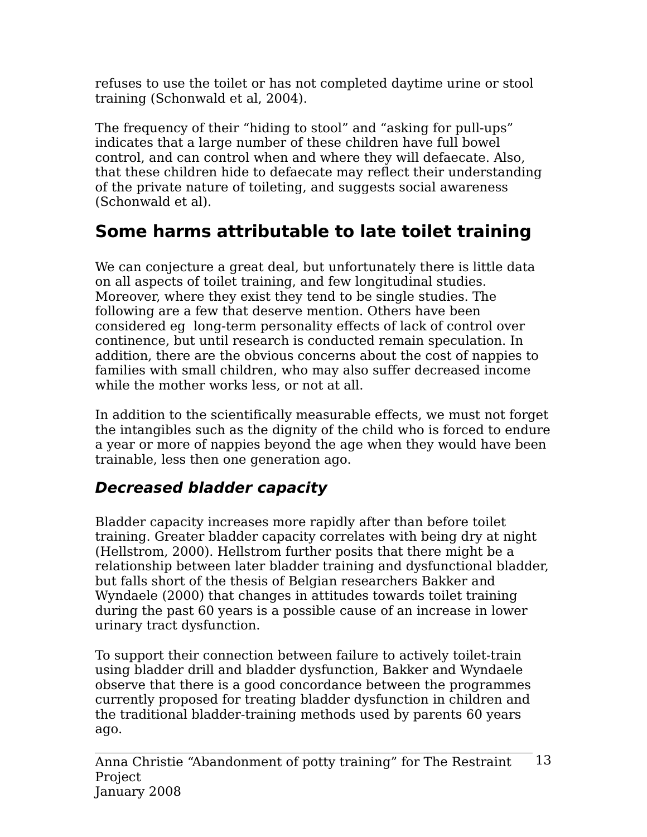refuses to use the toilet or has not completed daytime urine or stool training (Schonwald et al, 2004).

The frequency of their "hiding to stool" and "asking for pull-ups" indicates that a large number of these children have full bowel control, and can control when and where they will defaecate. Also, that these children hide to defaecate may reflect their understanding of the private nature of toileting, and suggests social awareness (Schonwald et al).

# **Some harms attributable to late toilet training**

We can conjecture a great deal, but unfortunately there is little data on all aspects of toilet training, and few longitudinal studies. Moreover, where they exist they tend to be single studies. The following are a few that deserve mention. Others have been considered eg long-term personality effects of lack of control over continence, but until research is conducted remain speculation. In addition, there are the obvious concerns about the cost of nappies to families with small children, who may also suffer decreased income while the mother works less, or not at all.

In addition to the scientifically measurable effects, we must not forget the intangibles such as the dignity of the child who is forced to endure a year or more of nappies beyond the age when they would have been trainable, less then one generation ago.

### **Decreased bladder capacity**

Bladder capacity increases more rapidly after than before toilet training. Greater bladder capacity correlates with being dry at night (Hellstrom, 2000). Hellstrom further posits that there might be a relationship between later bladder training and dysfunctional bladder, but falls short of the thesis of Belgian researchers Bakker and Wyndaele (2000) that changes in attitudes towards toilet training during the past 60 years is a possible cause of an increase in lower urinary tract dysfunction.

To support their connection between failure to actively toilet-train using bladder drill and bladder dysfunction, Bakker and Wyndaele observe that there is a good concordance between the programmes currently proposed for treating bladder dysfunction in children and the traditional bladder-training methods used by parents 60 years ago.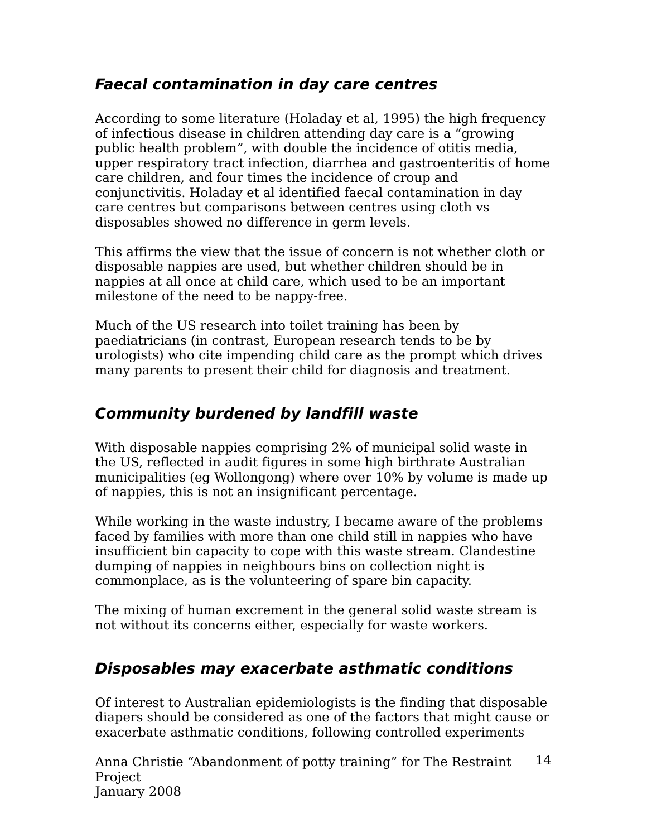#### **Faecal contamination in day care centres**

According to some literature (Holaday et al, 1995) the high frequency of infectious disease in children attending day care is a "growing public health problem", with double the incidence of otitis media, upper respiratory tract infection, diarrhea and gastroenteritis of home care children, and four times the incidence of croup and conjunctivitis. Holaday et al identified faecal contamination in day care centres but comparisons between centres using cloth vs disposables showed no difference in germ levels.

This affirms the view that the issue of concern is not whether cloth or disposable nappies are used, but whether children should be in nappies at all once at child care, which used to be an important milestone of the need to be nappy-free.

Much of the US research into toilet training has been by paediatricians (in contrast, European research tends to be by urologists) who cite impending child care as the prompt which drives many parents to present their child for diagnosis and treatment.

## **Community burdened by landfill waste**

With disposable nappies comprising 2% of municipal solid waste in the US, reflected in audit figures in some high birthrate Australian municipalities (eg Wollongong) where over 10% by volume is made up of nappies, this is not an insignificant percentage.

While working in the waste industry, I became aware of the problems faced by families with more than one child still in nappies who have insufficient bin capacity to cope with this waste stream. Clandestine dumping of nappies in neighbours bins on collection night is commonplace, as is the volunteering of spare bin capacity.

The mixing of human excrement in the general solid waste stream is not without its concerns either, especially for waste workers.

## **Disposables may exacerbate asthmatic conditions**

Of interest to Australian epidemiologists is the finding that disposable diapers should be considered as one of the factors that might cause or exacerbate asthmatic conditions, following controlled experiments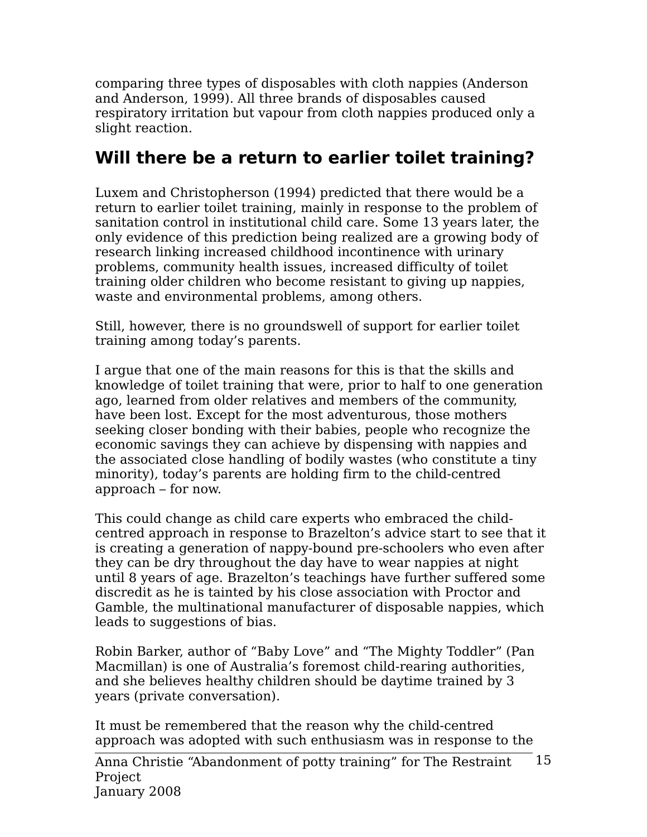comparing three types of disposables with cloth nappies (Anderson and Anderson, 1999). All three brands of disposables caused respiratory irritation but vapour from cloth nappies produced only a slight reaction.

# **Will there be a return to earlier toilet training?**

Luxem and Christopherson (1994) predicted that there would be a return to earlier toilet training, mainly in response to the problem of sanitation control in institutional child care. Some 13 years later, the only evidence of this prediction being realized are a growing body of research linking increased childhood incontinence with urinary problems, community health issues, increased difficulty of toilet training older children who become resistant to giving up nappies, waste and environmental problems, among others.

Still, however, there is no groundswell of support for earlier toilet training among today's parents.

I argue that one of the main reasons for this is that the skills and knowledge of toilet training that were, prior to half to one generation ago, learned from older relatives and members of the community, have been lost. Except for the most adventurous, those mothers seeking closer bonding with their babies, people who recognize the economic savings they can achieve by dispensing with nappies and the associated close handling of bodily wastes (who constitute a tiny minority), today's parents are holding firm to the child-centred approach – for now.

This could change as child care experts who embraced the childcentred approach in response to Brazelton's advice start to see that it is creating a generation of nappy-bound pre-schoolers who even after they can be dry throughout the day have to wear nappies at night until 8 years of age. Brazelton's teachings have further suffered some discredit as he is tainted by his close association with Proctor and Gamble, the multinational manufacturer of disposable nappies, which leads to suggestions of bias.

Robin Barker, author of "Baby Love" and "The Mighty Toddler" (Pan Macmillan) is one of Australia's foremost child-rearing authorities, and she believes healthy children should be daytime trained by 3 years (private conversation).

It must be remembered that the reason why the child-centred approach was adopted with such enthusiasm was in response to the

Anna Christie "Abandonment of potty training" for The Restraint Project January 2008 15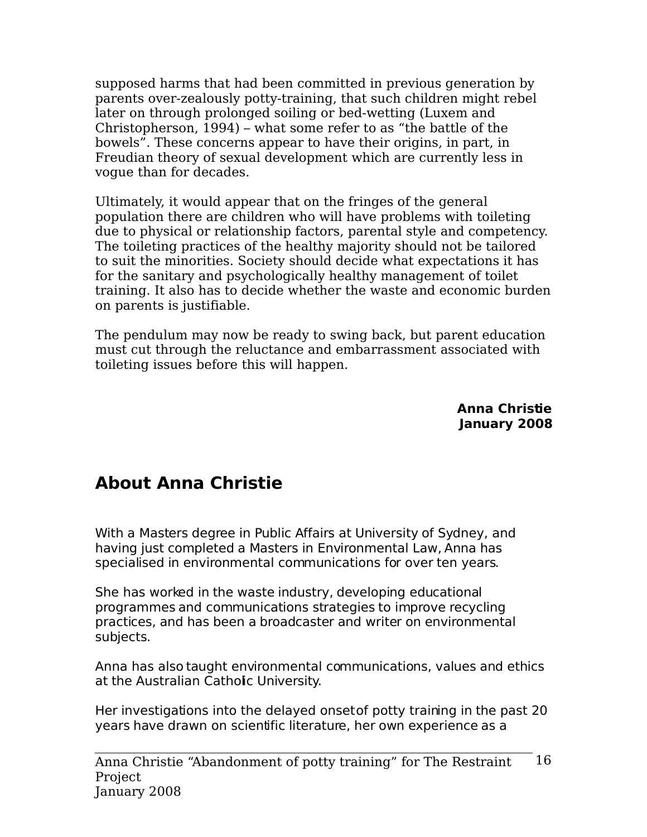supposed harms that had been committed in previous generation by parents over-zealously potty-training, that such children might rebel later on through prolonged soiling or bed-wetting (Luxem and Christopherson, 1994) – what some refer to as "the battle of the bowels". These concerns appear to have their origins, in part, in Freudian theory of sexual development which are currently less in vogue than for decades.

Ultimately, it would appear that on the fringes of the general population there are children who will have problems with toileting due to physical or relationship factors, parental style and competency. The toileting practices of the healthy majority should not be tailored to suit the minorities. Society should decide what expectations it has for the sanitary and psychologically healthy management of toilet training. It also has to decide whether the waste and economic burden on parents is justifiable.

The pendulum may now be ready to swing back, but parent education must cut through the reluctance and embarrassment associated with toileting issues before this will happen.

> **Anna Christie January 2008**

## **About Anna Christie**

With a Masters degree in Public Affairs at University of Sydney, and having just completed a Masters in Environmental Law, Anna has specialised in environmental communications for over ten years.

She has worked in the waste industry, developing educational programmes and communications strategies to improve recycling practices, and has been a broadcaster and writer on environmental subjects.

Anna has also taught environmental communications, values and ethics at the Australian Catholic University.

Her investigations into the delayed onset of potty training in the past 20 years have drawn on scientific literature, her own experience as a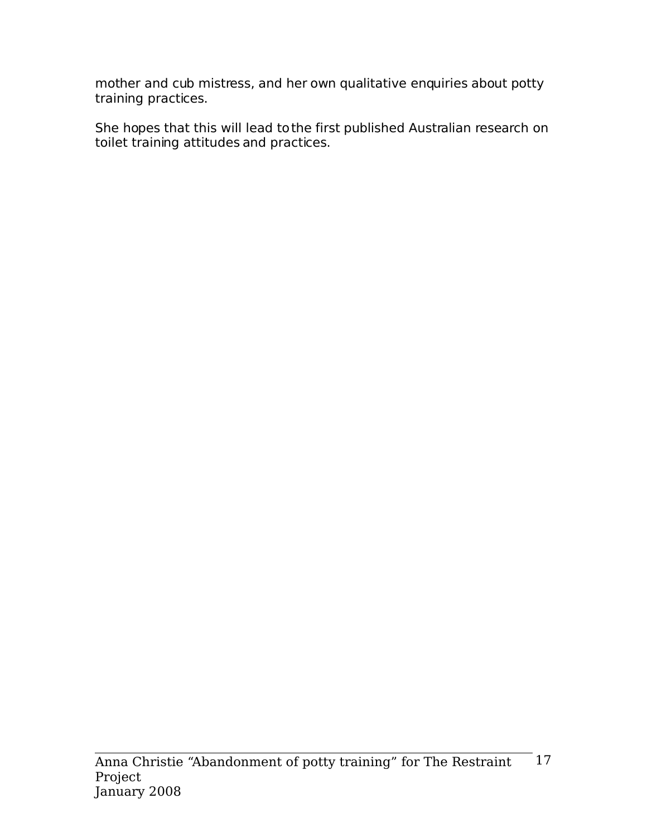mother and cub mistress, and her own qualitative enquiries about potty training practices.

She hopes that this will lead to the first published Australian research on toilet training attitudes and practices.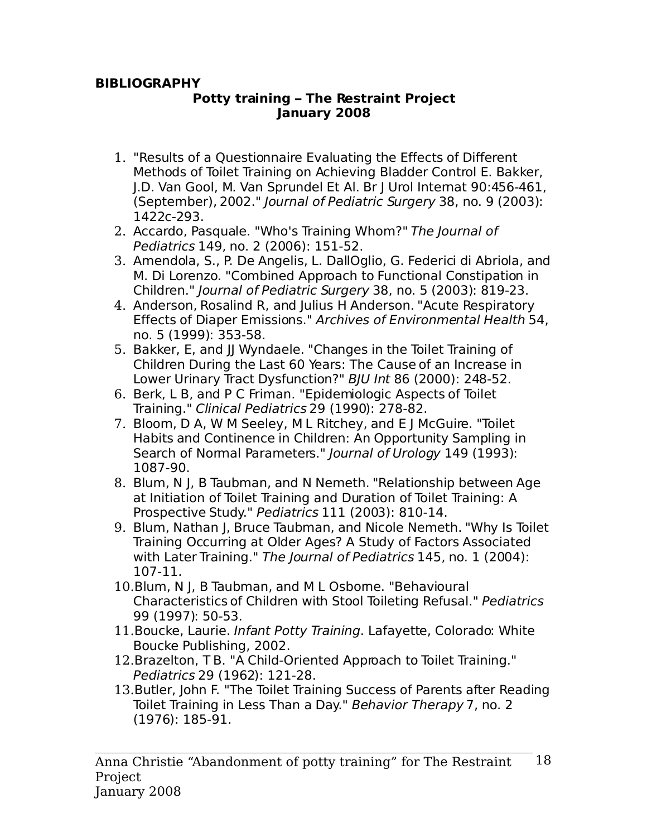#### **BIBLIOGRAPHY**

#### **Potty training – The Restraint Project January 2008**

- 1. "Results of a Questionnaire Evaluating the Effects of Different Methods of Toilet Training on Achieving Bladder Control E. Bakker, J.D. Van Gool, M. Van Sprundel Et Al. Br J Urol Internat 90:456-461, (September), 2002." Journal of Pediatric Surgery 38, no. 9 (2003): 1422c-293.
- 2. Accardo, Pasquale. "Who's Training Whom?" The Journal of Pediatrics 149, no. 2 (2006): 151-52.
- 3. Amendola, S., P. De Angelis, L. DallOglio, G. Federici di Abriola, and M. Di Lorenzo. "Combined Approach to Functional Constipation in Children." Journal of Pediatric Surgery 38, no. 5 (2003): 819-23.
- 4. Anderson, Rosalind R, and Julius H Anderson. "Acute Respiratory Effects of Diaper Emissions." Archives of Environmental Health 54, no. 5 (1999): 353-58.
- 5. Bakker, E, and JJ Wyndaele. "Changes in the Toilet Training of Children During the Last 60 Years: The Cause of an Increase in Lower Urinary Tract Dysfunction?" BJU Int 86 (2000): 248-52.
- 6. Berk, L B, and P C Friman. "Epidemiologic Aspects of Toilet Training." Clinical Pediatrics 29 (1990): 278-82.
- 7. Bloom, D A, W M Seeley, M L Ritchey, and E J McGuire. "Toilet Habits and Continence in Children: An Opportunity Sampling in Search of Normal Parameters." Journal of Urology 149 (1993): 1087-90.
- 8. Blum, N J, B Taubman, and N Nemeth. "Relationship between Age at Initiation of Toilet Training and Duration of Toilet Training: A Prospective Study." Pediatrics 111 (2003): 810-14.
- 9. Blum, Nathan J, Bruce Taubman, and Nicole Nemeth. "Why Is Toilet Training Occurring at Older Ages? A Study of Factors Associated with Later Training." The Journal of Pediatrics 145, no. 1 (2004): 107-11.
- 10.Blum, N J, B Taubman, and M L Osbome. "Behavioural Characteristics of Children with Stool Toileting Refusal." Pediatrics 99 (1997): 50-53.
- 11.Boucke, Laurie. Infant Potty Training. Lafayette, Colorado: White Boucke Publishing, 2002.
- 12.Brazelton, T B. "A Child-Oriented Approach to Toilet Training." Pediatrics 29 (1962): 121-28.
- 13.Butler, John F. "The Toilet Training Success of Parents after Reading Toilet Training in Less Than a Day." Behavior Therapy 7, no. 2 (1976): 185-91.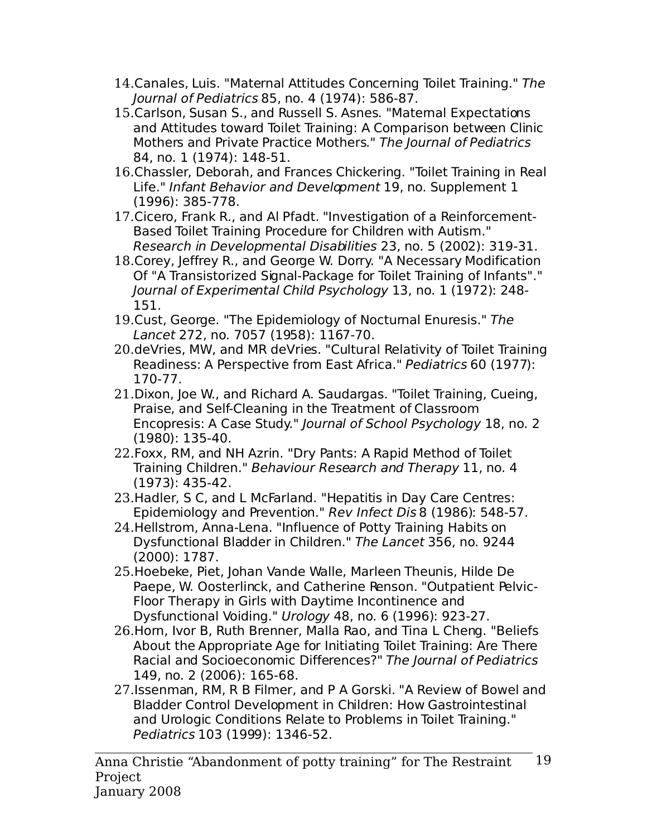- 14.Canales, Luis. "Maternal Attitudes Concerning Toilet Training." The Journal of Pediatrics 85, no. 4 (1974): 586-87.
- 15.Carlson, Susan S., and Russell S. Asnes. "Maternal Expectations and Attitudes toward Toilet Training: A Comparison between Clinic Mothers and Private Practice Mothers." The Journal of Pediatrics 84, no. 1 (1974): 148-51.
- 16.Chassler, Deborah, and Frances Chickering. "Toilet Training in Real Life." Infant Behavior and Development 19, no. Supplement 1 (1996): 385-778.
- 17.Cicero, Frank R., and Al Pfadt. "Investigation of a Reinforcement-Based Toilet Training Procedure for Children with Autism." Research in Developmental Disabilities 23, no. 5 (2002): 319-31.
- 18.Corey, Jeffrey R., and George W. Dorry. "A Necessary Modification Of "A Transistorized Signal-Package for Toilet Training of Infants"." Journal of Experimental Child Psychology 13, no. 1 (1972): 248- 151.
- 19.Cust, George. "The Epidemiology of Nocturnal Enuresis." The Lancet 272, no. 7057 (1958): 1167-70.
- 20.deVries, MW, and MR deVries. "Cultural Relativity of Toilet Training Readiness: A Perspective from East Africa." Pediatrics 60 (1977): 170-77.
- 21.Dixon, Joe W., and Richard A. Saudargas. "Toilet Training, Cueing, Praise, and Self-Cleaning in the Treatment of Classroom Encopresis: A Case Study." Journal of School Psychology 18, no. 2 (1980): 135-40.
- 22.Foxx, RM, and NH Azrin. "Dry Pants: A Rapid Method of Toilet Training Children." Behaviour Research and Therapy 11, no. 4 (1973): 435-42.
- 23.Hadler, S C, and L McFarland. "Hepatitis in Day Care Centres: Epidemiology and Prevention." Rev Infect Dis 8 (1986): 548-57.
- 24.Hellstrom, Anna-Lena. "Influence of Potty Training Habits on Dysfunctional Bladder in Children." The Lancet 356, no. 9244 (2000): 1787.
- 25.Hoebeke, Piet, Johan Vande Walle, Marleen Theunis, Hilde De Paepe, W. Oosterlinck, and Catherine Renson. "Outpatient Pelvic-Floor Therapy in Girls with Daytime Incontinence and Dysfunctional Voiding." Urology 48, no. 6 (1996): 923-27.
- 26.Horn, Ivor B, Ruth Brenner, Malla Rao, and Tina L Cheng. "Beliefs About the Appropriate Age for Initiating Toilet Training: Are There Racial and Socioeconomic Differences?" The Journal of Pediatrics 149, no. 2 (2006): 165-68.
- 27.Issenman, RM, R B Filmer, and P A Gorski. "A Review of Bowel and Bladder Control Development in Children: How Gastrointestinal and Urologic Conditions Relate to Problems in Toilet Training." Pediatrics 103 (1999): 1346-52.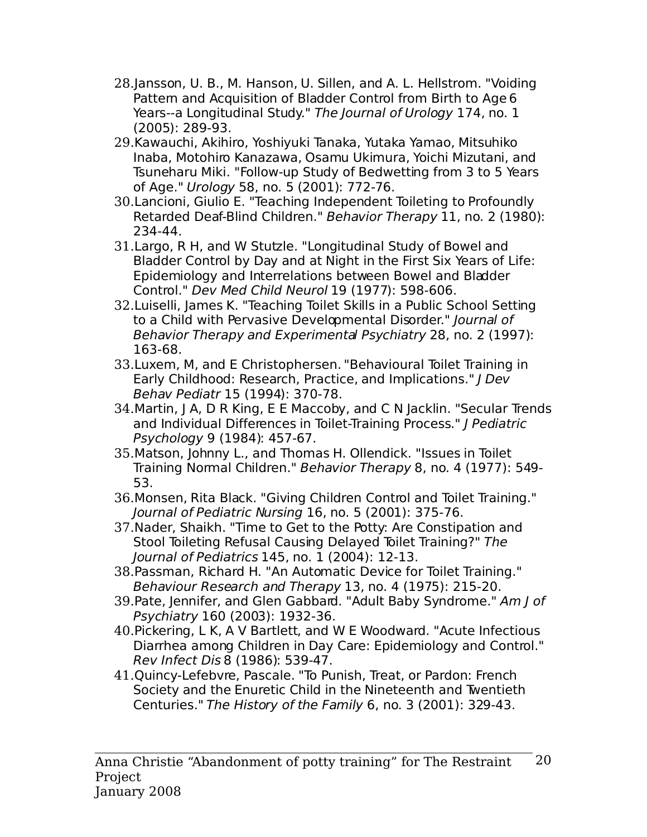- 28.Jansson, U. B., M. Hanson, U. Sillen, and A. L. Hellstrom. "Voiding Pattern and Acquisition of Bladder Control from Birth to Age 6 Years--a Longitudinal Study." The Journal of Urology 174, no. 1 (2005): 289-93.
- 29.Kawauchi, Akihiro, Yoshiyuki Tanaka, Yutaka Yamao, Mitsuhiko Inaba, Motohiro Kanazawa, Osamu Ukimura, Yoichi Mizutani, and Tsuneharu Miki. "Follow-up Study of Bedwetting from 3 to 5 Years of Age." Urology 58, no. 5 (2001): 772-76.
- 30.Lancioni, Giulio E. "Teaching Independent Toileting to Profoundly Retarded Deaf-Blind Children." Behavior Therapy 11, no. 2 (1980): 234-44.
- 31.Largo, R H, and W Stutzle. "Longitudinal Study of Bowel and Bladder Control by Day and at Night in the First Six Years of Life: Epidemiology and Interrelations between Bowel and Bladder Control." Dev Med Child Neurol 19 (1977): 598-606.
- 32.Luiselli, James K. "Teaching Toilet Skills in a Public School Setting to a Child with Pervasive Developmental Disorder." Journal of Behavior Therapy and Experimental Psychiatry 28, no. 2 (1997): 163-68.
- 33.Luxem, M, and E Christophersen. "Behavioural Toilet Training in Early Childhood: Research, Practice, and Implications." J Dev Behav Pediatr 15 (1994): 370-78.
- 34.Martin, J A, D R King, E E Maccoby, and C N Jacklin. "Secular Trends and Individual Differences in Toilet-Training Process." J Pediatric Psychology 9 (1984): 457-67.
- 35.Matson, Johnny L., and Thomas H. Ollendick. "Issues in Toilet Training Normal Children." Behavior Therapy 8, no. 4 (1977): 549- 53.
- 36.Monsen, Rita Black. "Giving Children Control and Toilet Training." Journal of Pediatric Nursing 16, no. 5 (2001): 375-76.
- 37.Nader, Shaikh. "Time to Get to the Potty: Are Constipation and Stool Toileting Refusal Causing Delayed Toilet Training?" The Journal of Pediatrics 145, no. 1 (2004): 12-13.
- 38.Passman, Richard H. "An Automatic Device for Toilet Training." Behaviour Research and Therapy 13, no. 4 (1975): 215-20.
- 39. Pate, Jennifer, and Glen Gabbard. "Adult Baby Syndrome." Am J of Psychiatry 160 (2003): 1932-36.
- 40.Pickering, L K, A V Bartlett, and W E Woodward. "Acute Infectious Diarrhea among Children in Day Care: Epidemiology and Control." Rev Infect Dis 8 (1986): 539-47.
- 41.Quincy-Lefebvre, Pascale. "To Punish, Treat, or Pardon: French Society and the Enuretic Child in the Nineteenth and Twentieth Centuries." The History of the Family 6, no. 3 (2001): 329-43.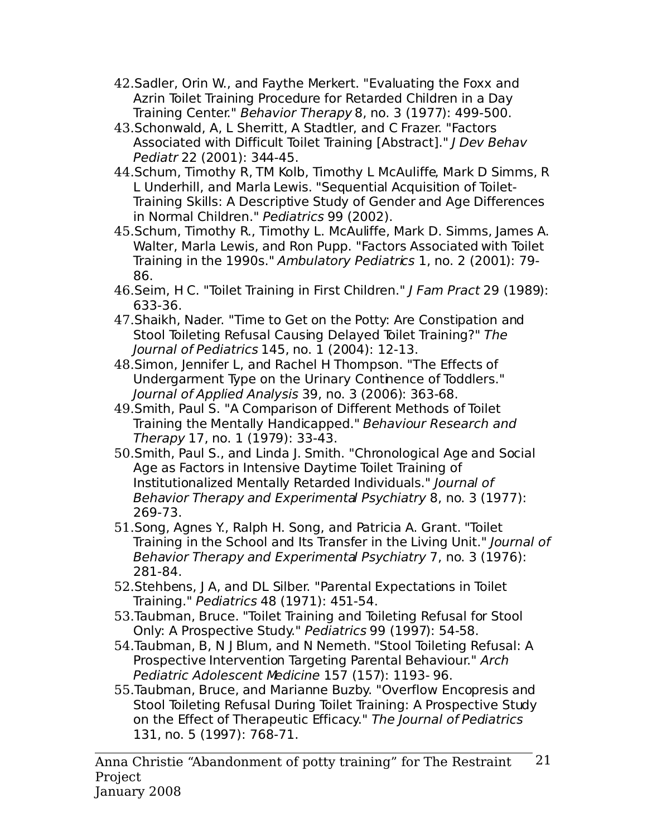- 42.Sadler, Orin W., and Faythe Merkert. "Evaluating the Foxx and Azrin Toilet Training Procedure for Retarded Children in a Day Training Center." Behavior Therapy 8, no. 3 (1977): 499-500.
- 43.Schonwald, A, L Sherritt, A Stadtler, and C Frazer. "Factors Associated with Difficult Toilet Training [Abstract]." J Dev Behav Pediatr 22 (2001): 344-45.
- 44.Schum, Timothy R, TM Kolb, Timothy L McAuliffe, Mark D Simms, R L Underhill, and Marla Lewis. "Sequential Acquisition of Toilet-Training Skills: A Descriptive Study of Gender and Age Differences in Normal Children." Pediatrics 99 (2002).
- 45.Schum, Timothy R., Timothy L. McAuliffe, Mark D. Simms, James A. Walter, Marla Lewis, and Ron Pupp. "Factors Associated with Toilet Training in the 1990s." Ambulatory Pediatrics 1, no. 2 (2001): 79-86.
- 46. Seim, H C. "Toilet Training in First Children." J Fam Pract 29 (1989): 633-36.
- 47.Shaikh, Nader. "Time to Get on the Potty: Are Constipation and Stool Toileting Refusal Causing Delayed Toilet Training?" The Journal of Pediatrics 145, no. 1 (2004): 12-13.
- 48.Simon, Jennifer L, and Rachel H Thompson. "The Effects of Undergarment Type on the Urinary Continence of Toddlers." Journal of Applied Analysis 39, no. 3 (2006): 363-68.
- 49.Smith, Paul S. "A Comparison of Different Methods of Toilet Training the Mentally Handicapped." Behaviour Research and Therapy 17, no. 1 (1979): 33-43.
- 50.Smith, Paul S., and Linda J. Smith. "Chronological Age and Social Age as Factors in Intensive Daytime Toilet Training of Institutionalized Mentally Retarded Individuals." Journal of Behavior Therapy and Experimental Psychiatry 8, no. 3 (1977): 269-73.
- 51.Song, Agnes Y., Ralph H. Song, and Patricia A. Grant. "Toilet Training in the School and Its Transfer in the Living Unit." Journal of Behavior Therapy and Experimental Psychiatry 7, no. 3 (1976): 281-84.
- 52.Stehbens, J A, and DL Silber. "Parental Expectations in Toilet Training." Pediatrics 48 (1971): 451-54.
- 53.Taubman, Bruce. "Toilet Training and Toileting Refusal for Stool Only: A Prospective Study." Pediatrics 99 (1997): 54-58.
- 54.Taubman, B, N J Blum, and N Nemeth. "Stool Toileting Refusal: A Prospective Intervention Targeting Parental Behaviour." Arch Pediatric Adolescent Medicine 157 (157): 1193- 96.
- 55.Taubman, Bruce, and Marianne Buzby. "Overflow Encopresis and Stool Toileting Refusal During Toilet Training: A Prospective Study on the Effect of Therapeutic Efficacy." The Journal of Pediatrics 131, no. 5 (1997): 768-71.